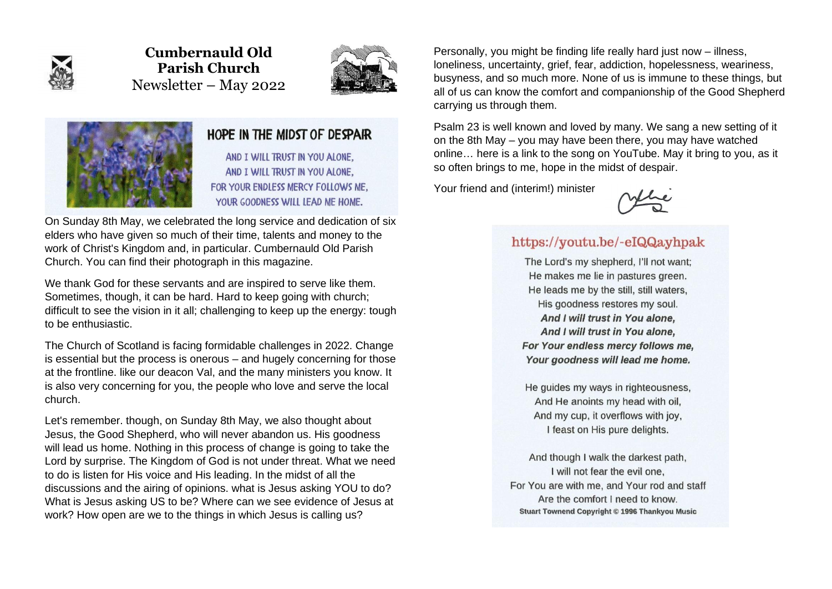

**Cumbernauld Old Parish Church** Newsletter – May 2022





## HOPE IN THE MIDST OF DESPAIR

AND I WILL TRUST IN YOU ALONE. AND I WILL TRUST IN YOU ALONE. FOR YOUR ENDLESS MERCY FOLLOWS ME. YOUR GOODNESS WILL LEAD ME HOME.

On Sunday 8th May, we celebrated the long service and dedication of six elders who have given so much of their time, talents and money to the work of Christ's Kingdom and, in particular. Cumbernauld Old Parish Church. You can find their photograph in this magazine.

We thank God for these servants and are inspired to serve like them. Sometimes, though, it can be hard. Hard to keep going with church; difficult to see the vision in it all; challenging to keep up the energy: tough to be enthusiastic.

The Church of Scotland is facing formidable challenges in 2022. Change is essential but the process is onerous – and hugely concerning for those at the frontline. like our deacon Val, and the many ministers you know. It is also very concerning for you, the people who love and serve the local church.

Let's remember. though, on Sunday 8th May, we also thought about Jesus, the Good Shepherd, who will never abandon us. His goodness will lead us home. Nothing in this process of change is going to take the Lord by surprise. The Kingdom of God is not under threat. What we need to do is listen for His voice and His leading. In the midst of all the discussions and the airing of opinions. what is Jesus asking YOU to do? What is Jesus asking US to be? Where can we see evidence of Jesus at work? How open are we to the things in which Jesus is calling us?

Personally, you might be finding life really hard just now – illness, loneliness, uncertainty, grief, fear, addiction, hopelessness, weariness, busyness, and so much more. None of us is immune to these things, but all of us can know the comfort and companionship of the Good Shepherd carrying us through them.

Psalm 23 is well known and loved by many. We sang a new setting of it on the 8th May – you may have been there, you may have watched online… here is a link to the song on YouTube. May it bring to you, as it so often brings to me, hope in the midst of despair.

Your friend and (interim!) minister



## https://youtu.be/-eIQQayhpak

The Lord's my shepherd, I'll not want: He makes me lie in pastures green. He leads me by the still, still waters, His goodness restores my soul. And I will trust in You alone, And I will trust in You alone. For Your endless mercy follows me, Your goodness will lead me home.

He guides my ways in righteousness, And He anoints my head with oil, And my cup, it overflows with joy, I feast on His pure delights.

And though I walk the darkest path. I will not fear the evil one. For You are with me, and Your rod and staff Are the comfort I need to know. Stuart Townend Copyright © 1996 Thankyou Music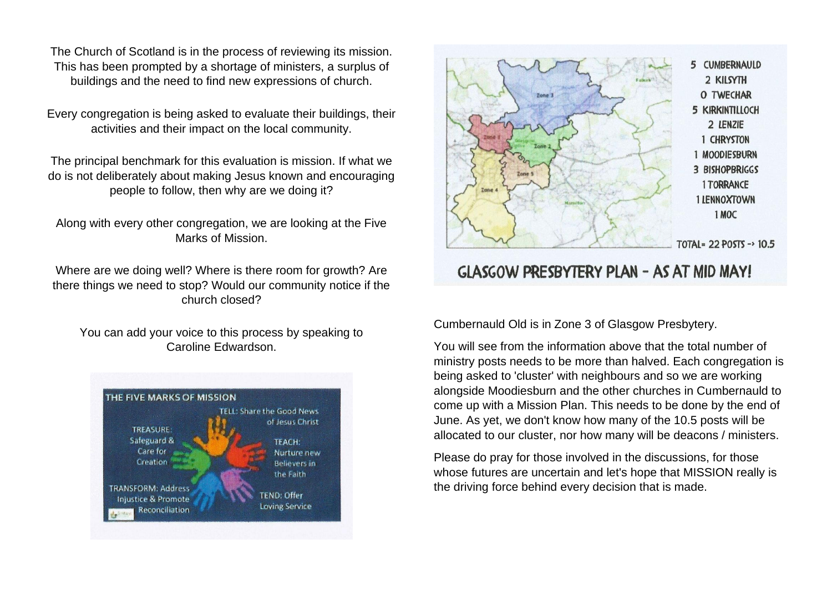The Church of Scotland is in the process of reviewing its mission. This has been prompted by a shortage of ministers, a surplus of buildings and the need to find new expressions of church.

Every congregation is being asked to evaluate their buildings, their activities and their impact on the local community.

The principal benchmark for this evaluation is mission. If what we do is not deliberately about making Jesus known and encouraging people to follow, then why are we doing it?

Along with every other congregation, we are looking at the Five Marks of Mission.

Where are we doing well? Where is there room for growth? Are there things we need to stop? Would our community notice if the church closed?

You can add your voice to this process by speaking to Caroline Edwardson.





# GLASGOW PRESBYTERY PLAN - AS AT MID MAY!

Cumbernauld Old is in Zone 3 of Glasgow Presbytery.

You will see from the information above that the total number of ministry posts needs to be more than halved. Each congregation is being asked to 'cluster' with neighbours and so we are working alongside Moodiesburn and the other churches in Cumbernauld to come up with a Mission Plan. This needs to be done by the end of June. As yet, we don't know how many of the 10.5 posts will be allocated to our cluster, nor how many will be deacons / ministers.

Please do pray for those involved in the discussions, for those whose futures are uncertain and let's hope that MISSION really is the driving force behind every decision that is made.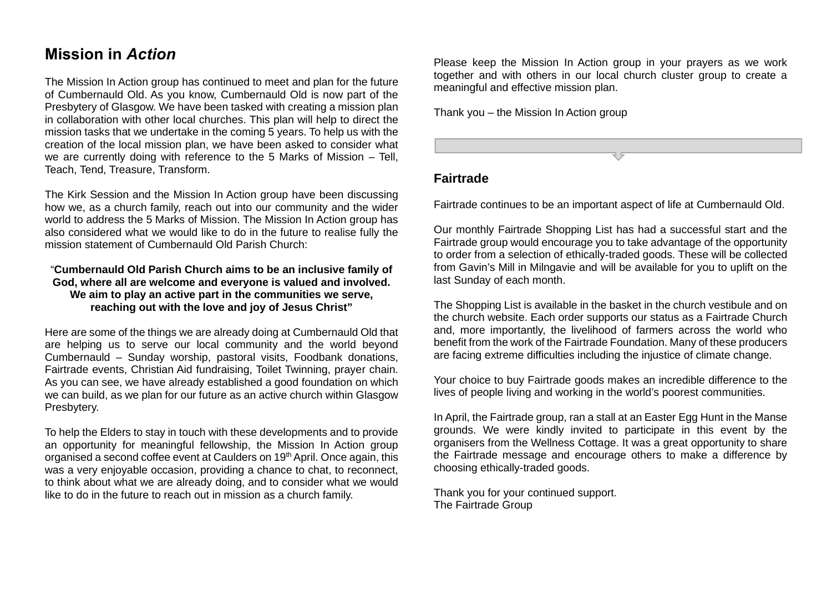# **Mission in** *Action*

The Mission In Action group has continued to meet and plan for the future of Cumbernauld Old. As you know, Cumbernauld Old is now part of the Presbytery of Glasgow. We have been tasked with creating a mission plan in collaboration with other local churches. This plan will help to direct the mission tasks that we undertake in the coming 5 years. To help us with the creation of the local mission plan, we have been asked to consider what we are currently doing with reference to the 5 Marks of Mission – Tell, Teach, Tend, Treasure, Transform.

The Kirk Session and the Mission In Action group have been discussing how we, as a church family, reach out into our community and the wider world to address the 5 Marks of Mission. The Mission In Action group has also considered what we would like to do in the future to realise fully the mission statement of Cumbernauld Old Parish Church:

#### "**Cumbernauld Old Parish Church aims to be an inclusive family of God, where all are welcome and everyone is valued and involved. We aim to play an active part in the communities we serve, reaching out with the love and joy of Jesus Christ"**

Here are some of the things we are already doing at Cumbernauld Old that are helping us to serve our local community and the world beyond Cumbernauld – Sunday worship, pastoral visits, Foodbank donations, Fairtrade events, Christian Aid fundraising, Toilet Twinning, prayer chain. As you can see, we have already established a good foundation on which we can build, as we plan for our future as an active church within Glasgow Presbytery.

To help the Elders to stay in touch with these developments and to provide an opportunity for meaningful fellowship, the Mission In Action group organised a second coffee event at Caulders on 19th April. Once again, this was a very enjoyable occasion, providing a chance to chat, to reconnect, to think about what we are already doing, and to consider what we would like to do in the future to reach out in mission as a church family.

Please keep the Mission In Action group in your prayers as we work together and with others in our local church cluster group to create a meaningful and effective mission plan.

Thank you – the Mission In Action group

**Fairtrade** 

Fairtrade continues to be an important aspect of life at Cumbernauld Old.

Our monthly Fairtrade Shopping List has had a successful start and the Fairtrade group would encourage you to take advantage of the opportunity to order from a selection of ethically-traded goods. These will be collected from Gavin's Mill in Milngavie and will be available for you to uplift on the last Sunday of each month.

The Shopping List is available in the basket in the church vestibule and on the church website. Each order supports our status as a Fairtrade Church and, more importantly, the livelihood of farmers across the world who benefit from the work of the Fairtrade Foundation. Many of these producers are facing extreme difficulties including the injustice of climate change.

Your choice to buy Fairtrade goods makes an incredible difference to the lives of people living and working in the world's poorest communities.

In April, the Fairtrade group, ran a stall at an Easter Egg Hunt in the Manse grounds. We were kindly invited to participate in this event by the organisers from the Wellness Cottage. It was a great opportunity to share the Fairtrade message and encourage others to make a difference by choosing ethically-traded goods.

Thank you for your continued support. The Fairtrade Group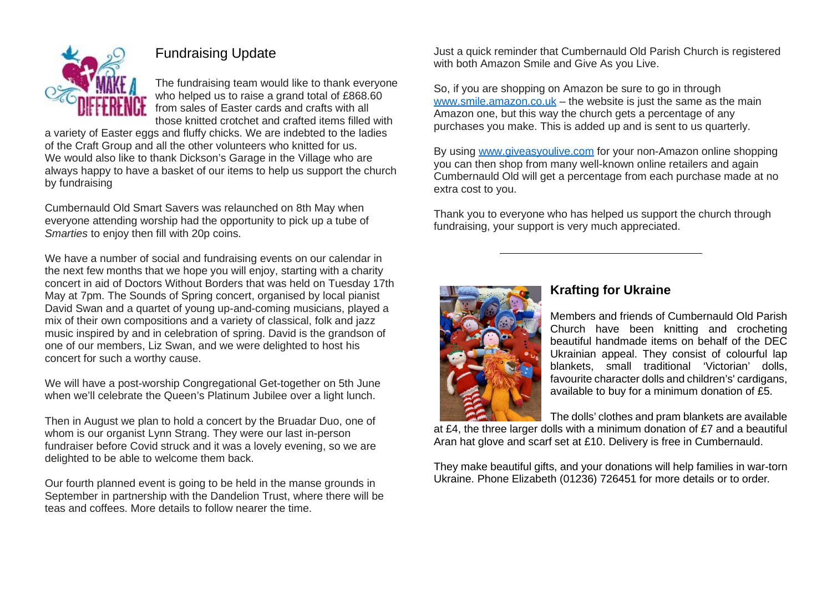

# Fundraising Update

The fundraising team would like to thank everyone who helped us to raise a grand total of £868.60 from sales of Easter cards and crafts with all those knitted crotchet and crafted items filled with

a variety of Easter eggs and fluffy chicks. We are indebted to the ladies of the Craft Group and all the other volunteers who knitted for us. We would also like to thank Dickson's Garage in the Village who are always happy to have a basket of our items to help us support the church by fundraising

Cumbernauld Old Smart Savers was relaunched on 8th May when everyone attending worship had the opportunity to pick up a tube of *Smarties* to enjoy then fill with 20p coins.

We have a number of social and fundraising events on our calendar in the next few months that we hope you will enjoy, starting with a charity concert in aid of Doctors Without Borders that was held on Tuesday 17th May at 7pm. The Sounds of Spring concert, organised by local pianist David Swan and a quartet of young up-and-coming musicians, played a mix of their own compositions and a variety of classical, folk and jazz music inspired by and in celebration of spring. David is the grandson of one of our members, Liz Swan, and we were delighted to host his concert for such a worthy cause.

We will have a post-worship Congregational Get-together on 5th June when we'll celebrate the Queen's Platinum Jubilee over a light lunch.

Then in August we plan to hold a concert by the Bruadar Duo, one of whom is our organist Lynn Strang. They were our last in-person fundraiser before Covid struck and it was a lovely evening, so we are delighted to be able to welcome them back.

Our fourth planned event is going to be held in the manse grounds in September in partnership with the Dandelion Trust, where there will be teas and coffees. More details to follow nearer the time.

Just a quick reminder that Cumbernauld Old Parish Church is registered with both Amazon Smile and Give As you Live.

So, if you are shopping on Amazon be sure to go in through [www.smile.amazon.co.uk](file:///C:/Users/Ivar/Dropbox/Church%20Documents/COPC%20Magazines%202022/www.smile.amazon.co.uk) – the website is just the same as the main Amazon one, but this way the church gets a percentage of any purchases you make. This is added up and is sent to us quarterly.

By using [www.giveasyoulive.com](about:blank) for your non-Amazon online shopping you can then shop from many well-known online retailers and again Cumbernauld Old will get a percentage from each purchase made at no extra cost to you.

Thank you to everyone who has helped us support the church through fundraising, your support is very much appreciated.



### **Krafting for Ukraine**

Members and friends of Cumbernauld Old Parish Church have been knitting and crocheting beautiful handmade items on behalf of the DEC Ukrainian appeal. They consist of colourful lap blankets, small traditional 'Victorian' dolls, favourite character dolls and children's' cardigans, available to buy for a minimum donation of £5.

The dolls' clothes and pram blankets are available

at £4, the three larger dolls with a minimum donation of £7 and a beautiful Aran hat glove and scarf set at £10. Delivery is free in Cumbernauld.

They make beautiful gifts, and your donations will help families in war-torn Ukraine. Phone Elizabeth (01236) 726451 for more details or to order.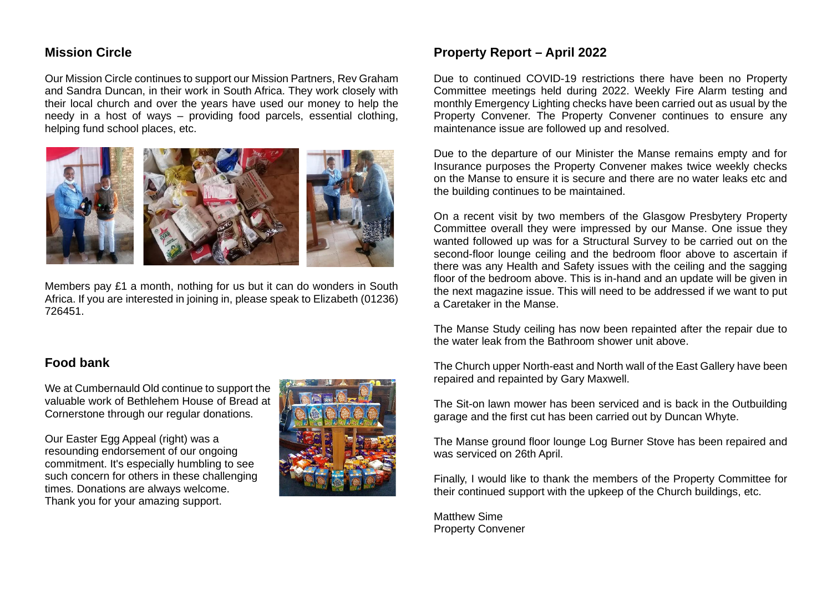### **Mission Circle**

Our Mission Circle continues to support our Mission Partners, Rev Graham and Sandra Duncan, in their work in South Africa. They work closely with their local church and over the years have used our money to help the needy in a host of ways – providing food parcels, essential clothing, helping fund school places, etc.



Members pay £1 a month, nothing for us but it can do wonders in South Africa. If you are interested in joining in, please speak to Elizabeth (01236) 726451.

### **Food bank**

We at Cumbernauld Old continue to support the valuable work of Bethlehem House of Bread at Cornerstone through our regular donations.

Our Easter Egg Appeal (right) was a resounding endorsement of our ongoing commitment. It's especially humbling to see such concern for others in these challenging times. Donations are always welcome. Thank you for your amazing support.



### **Property Report – April 2022**

Due to continued COVID-19 restrictions there have been no Property Committee meetings held during 2022. Weekly Fire Alarm testing and monthly Emergency Lighting checks have been carried out as usual by the Property Convener. The Property Convener continues to ensure any maintenance issue are followed up and resolved.

Due to the departure of our Minister the Manse remains empty and for Insurance purposes the Property Convener makes twice weekly checks on the Manse to ensure it is secure and there are no water leaks etc and the building continues to be maintained.

On a recent visit by two members of the Glasgow Presbytery Property Committee overall they were impressed by our Manse. One issue they wanted followed up was for a Structural Survey to be carried out on the second-floor lounge ceiling and the bedroom floor above to ascertain if there was any Health and Safety issues with the ceiling and the sagging floor of the bedroom above. This is in-hand and an update will be given in the next magazine issue. This will need to be addressed if we want to put a Caretaker in the Manse.

The Manse Study ceiling has now been repainted after the repair due to the water leak from the Bathroom shower unit above.

The Church upper North-east and North wall of the East Gallery have been repaired and repainted by Gary Maxwell.

The Sit-on lawn mower has been serviced and is back in the Outbuilding garage and the first cut has been carried out by Duncan Whyte.

The Manse ground floor lounge Log Burner Stove has been repaired and was serviced on 26th April.

Finally, I would like to thank the members of the Property Committee for their continued support with the upkeep of the Church buildings, etc.

Matthew Sime Property Convener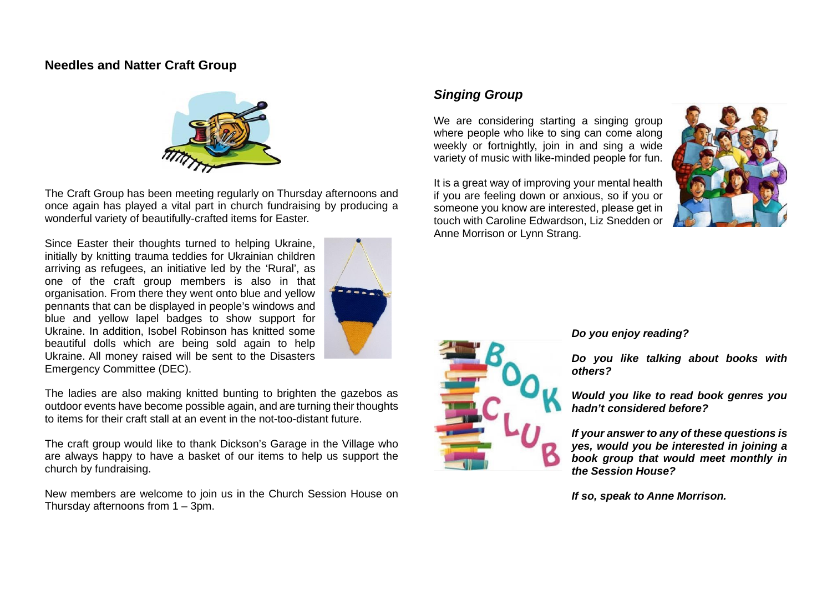#### **Needles and Natter Craft Group**



The Craft Group has been meeting regularly on Thursday afternoons and once again has played a vital part in church fundraising by producing a wonderful variety of beautifully-crafted items for Easter.

Since Easter their thoughts turned to helping Ukraine. initially by knitting trauma teddies for Ukrainian children arriving as refugees, an initiative led by the 'Rural', as one of the craft group members is also in that organisation. From there they went onto blue and yellow pennants that can be displayed in people's windows and blue and yellow lapel badges to show support for Ukraine. In addition, Isobel Robinson has knitted some beautiful dolls which are being sold again to help Ukraine. All money raised will be sent to the Disasters Emergency Committee (DEC).



The ladies are also making knitted bunting to brighten the gazebos as outdoor events have become possible again, and are turning their thoughts to items for their craft stall at an event in the not-too-distant future.

The craft group would like to thank Dickson's Garage in the Village who are always happy to have a basket of our items to help us support the church by fundraising.

New members are welcome to join us in the Church Session House on Thursday afternoons from 1 – 3pm.

## *Singing Group*

We are considering starting a singing group where people who like to sing can come along weekly or fortnightly, join in and sing a wide variety of music with like-minded people for fun.

It is a great way of improving your mental health if you are feeling down or anxious, so if you or someone you know are interested, please get in touch with Caroline Edwardson, Liz Snedden or Anne Morrison or Lynn Strang.





#### *Do you enjoy reading?*

*Do you like talking about books with others?*

*Would you like to read book genres you hadn't considered before?*

*If your answer to any of these questions is yes, would you be interested in joining a book group that would meet monthly in the Session House?* 

*If so, speak to Anne Morrison.*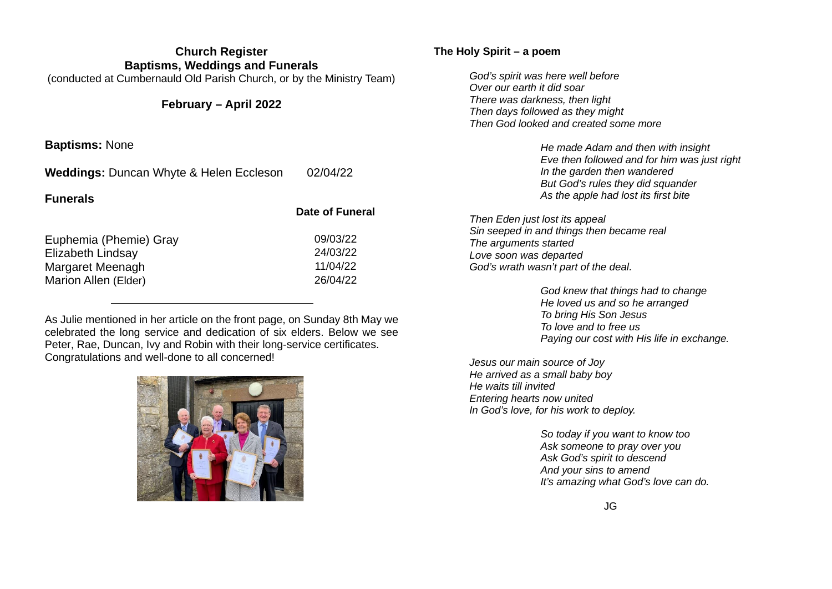| <b>Church Register</b><br><b>Baptisms, Weddings and Funerals</b>                               |                                              | The Holy Spirit – a poem                                                                                                                                                                                     |
|------------------------------------------------------------------------------------------------|----------------------------------------------|--------------------------------------------------------------------------------------------------------------------------------------------------------------------------------------------------------------|
| (conducted at Cumbernauld Old Parish Church, or by the Ministry Team)<br>February – April 2022 |                                              | God's spirit was here well before<br>Over our earth it did soar<br>There was darkness, then light<br>Then days followed as they might<br>Then God looked and created some more                               |
| <b>Baptisms: None</b>                                                                          |                                              | He made Adam and then with insight                                                                                                                                                                           |
| <b>Weddings: Duncan Whyte &amp; Helen Eccleson</b><br><b>Funerals</b>                          | 02/04/22                                     | Eve then followed and for him was just right<br>In the garden then wandered<br>But God's rules they did squander<br>As the apple had lost its first bite                                                     |
|                                                                                                | <b>Date of Funeral</b>                       | Then Eden just lost its appeal                                                                                                                                                                               |
| Euphemia (Phemie) Gray<br>Elizabeth Lindsay<br>Margaret Meenagh<br>Marion Allen (Elder)        | 09/03/22<br>24/03/22<br>11/04/22<br>26/04/22 | Sin seeped in and things then became real<br>The arguments started<br>Love soon was departed<br>God's wrath wasn't part of the deal.<br>God knew that things had to change<br>He loved us and so he arranged |

As Julie mentioned in her article on the front page, on Sunday 8th May we celebrated the long service and dedication of six elders. Below we see Peter, Rae, Duncan, Ivy and Robin with their long-service certificates. Congratulations and well-done to all concerned!



*Jesus our main source of Joy He arrived as a small baby boy He waits till invited Entering hearts now united In God's love, for his work to deploy.*

*To bring His Son Jesus To love and to free us*

*So today if you want to know too Ask someone to pray over you Ask God's spirit to descend And your sins to amend It's amazing what God's love can do.*

*Paying our cost with His life in exchange.*